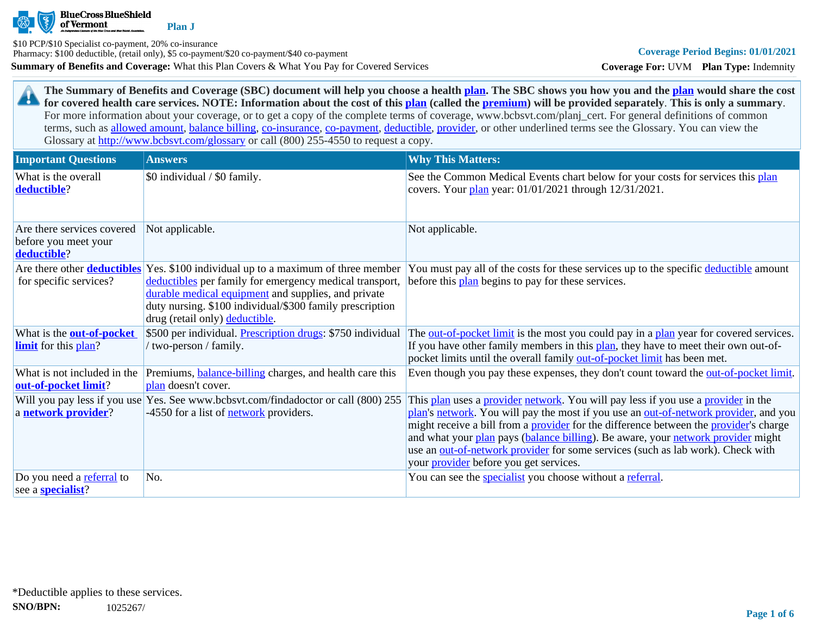

**Summary of Benefits and Coverage:** What this Plan Covers & What You Pay for Covered Services \$10 PCP/\$10 Specialist co-payment, 20% co-insurance Pharmacy: \$100 deductible, (retail only), \$5 co-payment/\$20 co-payment/\$40 co-payment

**Coverage For:** UVM **Plan Type:** Indemnity

**The Summary of Benefits and Coverage (SBC) document will help you choose a health [plan](https://www.healthcare.gov/sbc-glossary/#plan). The SBC shows you how you and the [plan](https://www.healthcare.gov/sbc-glossary/#plan) would share the cost**  29 **for covered health care services. NOTE: Information about the cost of this [plan](https://www.healthcare.gov/sbc-glossary/#plan) (called the [premium](https://www.healthcare.gov/sbc-glossary/#premium)) will be provided separately**. **This is only a summary**. For more information about your coverage, or to get a copy of the complete terms of coverage, www.bcbsvt.com/planj\_cert. For general definitions of common terms, such as [allowed amount](https://www.healthcare.gov/sbc-glossary/#allowed-amount), [balance billing,](https://www.healthcare.gov/sbc-glossary/#balance-billing) [co-insurance,](https://www.healthcare.gov/sbc-glossary/#coinsurance) [co-payment,](https://www.healthcare.gov/sbc-glossary/#copayment) [deductible](https://www.healthcare.gov/sbc-glossary/#deductible), [provider,](https://www.healthcare.gov/sbc-glossary/#provider) or other underlined terms see the Glossary. You can view the Glossary at <http://www.bcbsvt.com/glossary>or call (800) 255-4550 to request a copy.

| <b>Important Questions</b>                                        | <b>Answers</b>                                                                                                                                                                                                                                                        | <b>Why This Matters:</b>                                                                                                                                                                                                                                                                                                                                                                                                                                                                                  |
|-------------------------------------------------------------------|-----------------------------------------------------------------------------------------------------------------------------------------------------------------------------------------------------------------------------------------------------------------------|-----------------------------------------------------------------------------------------------------------------------------------------------------------------------------------------------------------------------------------------------------------------------------------------------------------------------------------------------------------------------------------------------------------------------------------------------------------------------------------------------------------|
| What is the overall<br>deductible?                                | \$0 individual / \$0 family.                                                                                                                                                                                                                                          | See the Common Medical Events chart below for your costs for services this plan<br>covers. Your plan year: 01/01/2021 through 12/31/2021.                                                                                                                                                                                                                                                                                                                                                                 |
| Are there services covered<br>before you meet your<br>deductible? | Not applicable.                                                                                                                                                                                                                                                       | Not applicable.                                                                                                                                                                                                                                                                                                                                                                                                                                                                                           |
| Are there other <b>deductibles</b><br>for specific services?      | Yes. \$100 individual up to a maximum of three member<br>deductibles per family for emergency medical transport,<br>durable medical equipment and supplies, and private<br>duty nursing. \$100 individual/\$300 family prescription<br>drug (retail only) deductible. | You must pay all of the costs for these services up to the specific deductible amount<br>before this plan begins to pay for these services.                                                                                                                                                                                                                                                                                                                                                               |
| What is the <b>out-of-pocket</b><br><b>limit</b> for this plan?   | \$500 per individual. Prescription drugs: \$750 individual<br>' two-person / family.                                                                                                                                                                                  | The <u>out-of-pocket limit</u> is the most you could pay in a plan year for covered services.<br>If you have other family members in this plan, they have to meet their own out-of-<br>pocket limits until the overall family out-of-pocket limit has been met.                                                                                                                                                                                                                                           |
| What is not included in the<br>out-of-pocket limit?               | Premiums, <b>balance-billing</b> charges, and health care this<br>plan doesn't cover.                                                                                                                                                                                 | Even though you pay these expenses, they don't count toward the <u>out-of-pocket limit</u> .                                                                                                                                                                                                                                                                                                                                                                                                              |
| Will you pay less if you use<br>a network provider?               | Yes. See www.bcbsvt.com/findadoctor or call (800) 255<br>-4550 for a list of <b>network</b> providers.                                                                                                                                                                | This plan uses a provider network. You will pay less if you use a provider in the<br>plan's network. You will pay the most if you use an out-of-network provider, and you<br>might receive a bill from a <b>provider</b> for the difference between the <b>provider</b> 's charge<br>and what your plan pays (balance billing). Be aware, your network provider might<br>use an out-of-network provider for some services (such as lab work). Check with<br>your <i>provider</i> before you get services. |
| Do you need a referral to<br>see a <b>specialist</b> ?            | No.                                                                                                                                                                                                                                                                   | You can see the <i>specialist</i> you choose without a referral.                                                                                                                                                                                                                                                                                                                                                                                                                                          |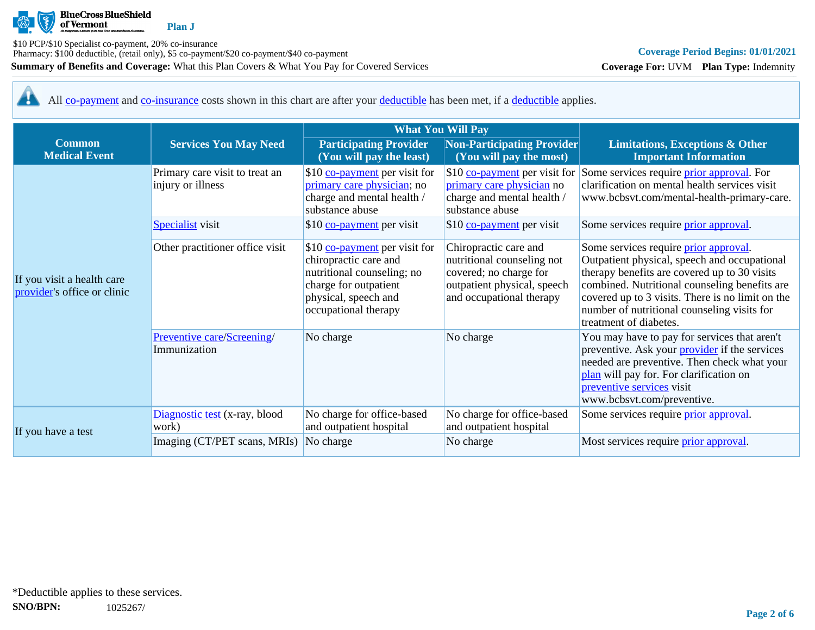

**Plan J**

**Summary of Benefits and Coverage:** What this Plan Covers & What You Pay for Covered Services \$10 PCP/\$10 Specialist co-payment, 20% co-insurance Pharmacy: \$100 deductible, (retail only), \$5 co-payment/\$20 co-payment/\$40 co-payment

**Coverage For:** UVM **Plan Type:** Indemnity

44 All [co-payment](https://www.healthcare.gov/sbc-glossary/#copayment) and [co-insurance](https://www.healthcare.gov/sbc-glossary/#coinsurance) costs shown in this chart are after your [deductible](https://www.healthcare.gov/sbc-glossary/#deductible) has been met, if a [deductible](https://www.healthcare.gov/sbc-glossary/#deductible) applies.

|                                                           |                                                                                | <b>What You Will Pay</b>                                                                                                                                      |                                                                                                                                                                  |                                                                                                                                                                                                                                                                                                                             |  |
|-----------------------------------------------------------|--------------------------------------------------------------------------------|---------------------------------------------------------------------------------------------------------------------------------------------------------------|------------------------------------------------------------------------------------------------------------------------------------------------------------------|-----------------------------------------------------------------------------------------------------------------------------------------------------------------------------------------------------------------------------------------------------------------------------------------------------------------------------|--|
| <b>Common</b><br><b>Medical Event</b>                     | <b>Services You May Need</b>                                                   | <b>Participating Provider</b><br>(You will pay the least)                                                                                                     | Non-Participating Provider<br>(You will pay the most)                                                                                                            | <b>Limitations, Exceptions &amp; Other</b><br><b>Important Information</b>                                                                                                                                                                                                                                                  |  |
|                                                           | Primary care visit to treat an<br>injury or illness<br><b>Specialist</b> visit | \$10 co-payment per visit for<br>primary care physician; no<br>charge and mental health /<br>substance abuse<br>\$10 co-payment per visit                     | \$10 $\frac{\text{co-payment}}{\text{per visit}}$ for<br>primary care physician no<br>charge and mental health /<br>substance abuse<br>\$10 co-payment per visit | Some services require <i>prior approval</i> . For<br>clarification on mental health services visit<br>www.bcbsvt.com/mental-health-primary-care.<br>Some services require <i>prior approval</i> .                                                                                                                           |  |
| If you visit a health care<br>provider's office or clinic | Other practitioner office visit                                                | \$10 co-payment per visit for<br>chiropractic care and<br>nutritional counseling; no<br>charge for outpatient<br>physical, speech and<br>occupational therapy | Chiropractic care and<br>nutritional counseling not<br>covered; no charge for<br>outpatient physical, speech<br>and occupational therapy                         | Some services require <i>prior approval</i> .<br>Outpatient physical, speech and occupational<br>therapy benefits are covered up to 30 visits<br>combined. Nutritional counseling benefits are<br>covered up to 3 visits. There is no limit on the<br>number of nutritional counseling visits for<br>treatment of diabetes. |  |
|                                                           | Preventive care/Screening/<br>Immunization                                     | No charge                                                                                                                                                     | No charge                                                                                                                                                        | You may have to pay for services that aren't<br>preventive. Ask your <i>provider</i> if the services<br>needed are preventive. Then check what your<br>plan will pay for. For clarification on<br>preventive services visit<br>www.bcbsvt.com/preventive.                                                                   |  |
| If you have a test                                        | Diagnostic test (x-ray, blood<br>work)                                         | No charge for office-based<br>and outpatient hospital                                                                                                         | No charge for office-based<br>and outpatient hospital                                                                                                            | Some services require <i>prior</i> approval.                                                                                                                                                                                                                                                                                |  |
|                                                           | Imaging (CT/PET scans, MRIs)                                                   | No charge                                                                                                                                                     | No charge                                                                                                                                                        | Most services require <i>prior approval</i> .                                                                                                                                                                                                                                                                               |  |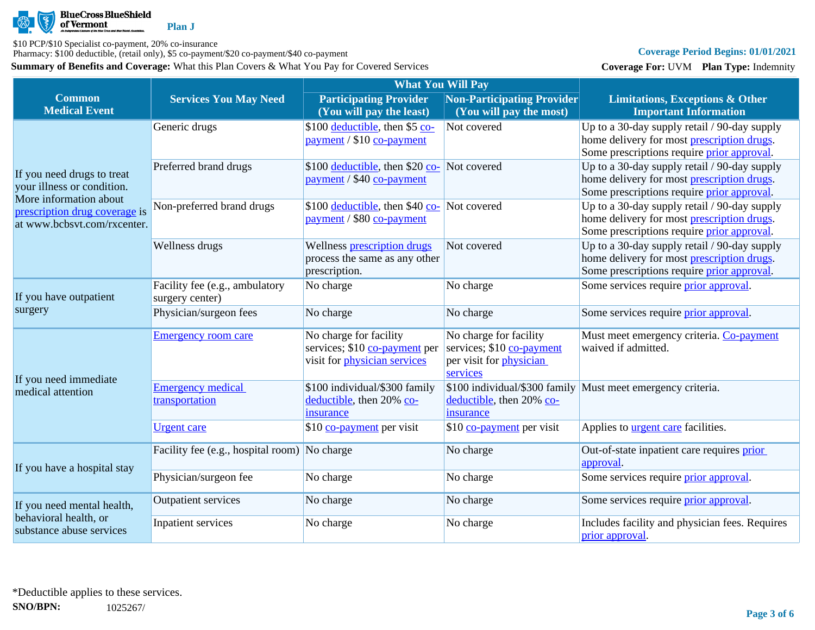

\$10 PCP/\$10 Specialist co-payment, 20% co-insurance

Pharmacy: \$100 deductible, (retail only), \$5 co-payment/\$20 co-payment/\$40 co-payment

**Summary of Benefits and Coverage:** What this Plan Covers & What You Pay for Covered Services

# **Coverage Period Begins: 01/01/2021**

**Coverage For:** UVM **Plan Type:** Indemnity

|                                                   |                                              | <b>What You Will Pay</b>                                                 |                                |                                                                                            |
|---------------------------------------------------|----------------------------------------------|--------------------------------------------------------------------------|--------------------------------|--------------------------------------------------------------------------------------------|
| <b>Common</b>                                     | <b>Services You May Need</b>                 | <b>Participating Provider</b>                                            | Non-Participating Provider     | <b>Limitations, Exceptions &amp; Other</b>                                                 |
| <b>Medical Event</b>                              |                                              | (You will pay the least)                                                 | (You will pay the most)        | <b>Important Information</b>                                                               |
|                                                   | Generic drugs                                | \$100 deductible, then \$5 co-                                           | Not covered                    | Up to a 30-day supply retail / 90-day supply                                               |
|                                                   |                                              | payment / \$10 co-payment                                                |                                | home delivery for most prescription drugs.                                                 |
|                                                   |                                              |                                                                          |                                | Some prescriptions require prior approval.                                                 |
| If you need drugs to treat                        | Preferred brand drugs                        | \$100 <u>deductible</u> , then \$20 co- Not covered                      |                                | Up to a 30-day supply retail / 90-day supply                                               |
| your illness or condition.                        |                                              | payment / \$40 co-payment                                                |                                | home delivery for most prescription drugs.<br>Some prescriptions require prior approval.   |
| More information about                            |                                              |                                                                          |                                |                                                                                            |
| prescription drug coverage is                     | Non-preferred brand drugs                    | \$100 deductible, then \$40 co- Not covered<br>payment / \$80 co-payment |                                | Up to a 30-day supply retail / 90-day supply<br>home delivery for most prescription drugs. |
| at www.bcbsvt.com/rxcenter.                       |                                              |                                                                          |                                | Some prescriptions require prior approval.                                                 |
|                                                   | Wellness drugs                               | Wellness prescription drugs                                              | Not covered                    | Up to a 30-day supply retail / 90-day supply                                               |
|                                                   |                                              | process the same as any other                                            |                                | home delivery for most prescription drugs.                                                 |
|                                                   |                                              | prescription.                                                            |                                | Some prescriptions require prior approval.                                                 |
|                                                   | Facility fee (e.g., ambulatory               | No charge                                                                | No charge                      | Some services require prior approval.                                                      |
| If you have outpatient                            | surgery center)                              |                                                                          |                                |                                                                                            |
| surgery                                           | Physician/surgeon fees                       | No charge                                                                | No charge                      | Some services require prior approval.                                                      |
|                                                   | <b>Emergency room care</b>                   | No charge for facility                                                   | No charge for facility         | Must meet emergency criteria. Co-payment                                                   |
|                                                   |                                              | services; \$10 co-payment per                                            | services; \$10 co-payment      | waived if admitted.                                                                        |
|                                                   |                                              | visit for <i>physician</i> services                                      | per visit for <i>physician</i> |                                                                                            |
| If you need immediate                             | <b>Emergency medical</b>                     | \$100 individual/\$300 family                                            | services                       |                                                                                            |
| medical attention                                 | transportation                               | deductible, then 20% co-                                                 | deductible, then 20% co-       | \$100 individual/\$300 family Must meet emergency criteria.                                |
|                                                   |                                              | insurance                                                                | insurance                      |                                                                                            |
|                                                   | <b>Urgent</b> care                           | \$10 co-payment per visit                                                | \$10 co-payment per visit      | Applies to <b>urgent care</b> facilities.                                                  |
|                                                   |                                              |                                                                          |                                |                                                                                            |
|                                                   | Facility fee (e.g., hospital room) No charge |                                                                          | No charge                      | Out-of-state inpatient care requires prior                                                 |
| If you have a hospital stay                       |                                              |                                                                          |                                | approval.                                                                                  |
|                                                   | Physician/surgeon fee                        | No charge                                                                | No charge                      | Some services require prior approval.                                                      |
| If you need mental health,                        | <b>Outpatient services</b>                   | No charge                                                                | No charge                      | Some services require prior approval.                                                      |
| behavioral health, or<br>substance abuse services | Inpatient services                           | No charge                                                                | No charge                      | Includes facility and physician fees. Requires<br>prior approval.                          |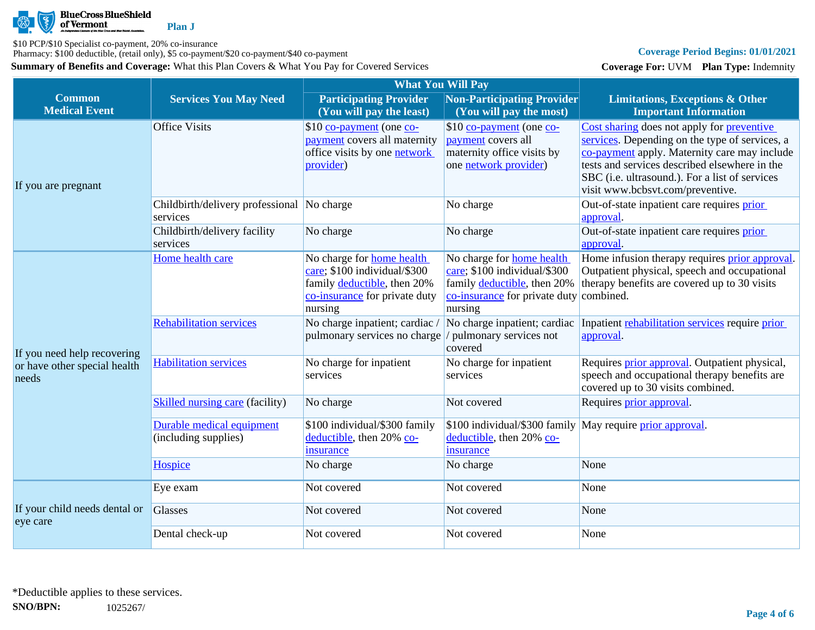

\$10 PCP/\$10 Specialist co-payment, 20% co-insurance

Pharmacy: \$100 deductible, (retail only), \$5 co-payment/\$20 co-payment/\$40 co-payment

**Summary of Benefits and Coverage:** What this Plan Covers & What You Pay for Covered Services

# **Coverage Period Begins: 01/01/2021**

**Coverage For:** UVM **Plan Type:** Indemnity

|                                           |                                                        | <b>What You Will Pay</b>                                                                                                                    |                                                                                                                                                       |                                                                                                                                                                                                                                                                                     |
|-------------------------------------------|--------------------------------------------------------|---------------------------------------------------------------------------------------------------------------------------------------------|-------------------------------------------------------------------------------------------------------------------------------------------------------|-------------------------------------------------------------------------------------------------------------------------------------------------------------------------------------------------------------------------------------------------------------------------------------|
| <b>Common</b><br><b>Medical Event</b>     | <b>Services You May Need</b>                           | <b>Participating Provider</b><br>(You will pay the least)                                                                                   | Non-Participating Provider<br>(You will pay the most)                                                                                                 | <b>Limitations, Exceptions &amp; Other</b><br><b>Important Information</b>                                                                                                                                                                                                          |
| If you are pregnant                       | <b>Office Visits</b>                                   | \$10 co-payment (one co-<br>payment covers all maternity<br>office visits by one <b>network</b><br>provider)                                | \$10 co-payment (one co-<br><i>payment</i> covers all<br>maternity office visits by<br>one network provider)                                          | Cost sharing does not apply for preventive<br>services. Depending on the type of services, a<br>co-payment apply. Maternity care may include<br>tests and services described elsewhere in the<br>SBC (i.e. ultrasound.). For a list of services<br>visit www.bcbsvt.com/preventive. |
|                                           | Childbirth/delivery professional No charge<br>services |                                                                                                                                             | No charge                                                                                                                                             | Out-of-state inpatient care requires prior<br>approval.                                                                                                                                                                                                                             |
|                                           | Childbirth/delivery facility<br>services               | No charge                                                                                                                                   | No charge                                                                                                                                             | Out-of-state inpatient care requires prior<br>approval.                                                                                                                                                                                                                             |
|                                           | Home health care                                       | No charge for <b>home</b> health<br>care; \$100 individual/\$300<br>family deductible, then 20%<br>co-insurance for private duty<br>nursing | No charge for <b>home</b> health<br>care; \$100 individual/\$300<br>family deductible, then 20%<br>co-insurance for private duty combined.<br>nursing | Home infusion therapy requires prior approval.<br>Outpatient physical, speech and occupational<br>therapy benefits are covered up to 30 visits                                                                                                                                      |
| If you need help recovering               | <b>Rehabilitation services</b>                         | No charge inpatient; cardiac<br>pulmonary services no charge                                                                                | No charge inpatient; cardiac<br>/ pulmonary services not<br>covered                                                                                   | Inpatient rehabilitation services require prior<br>approval.                                                                                                                                                                                                                        |
| or have other special health<br>needs     | <b>Habilitation services</b>                           | No charge for inpatient<br>services                                                                                                         | No charge for inpatient<br>services                                                                                                                   | Requires prior approval. Outpatient physical,<br>speech and occupational therapy benefits are<br>covered up to 30 visits combined.                                                                                                                                                  |
|                                           | <b>Skilled nursing care (facility)</b>                 | No charge                                                                                                                                   | Not covered                                                                                                                                           | Requires prior approval.                                                                                                                                                                                                                                                            |
|                                           | Durable medical equipment<br>(including supplies)      | \$100 individual/\$300 family<br>deductible, then 20% co-<br>insurance                                                                      | \$100 individual/\$300 family May require prior approval.<br>deductible, then 20% co-<br>insurance                                                    |                                                                                                                                                                                                                                                                                     |
|                                           | Hospice                                                | No charge                                                                                                                                   | No charge                                                                                                                                             | None                                                                                                                                                                                                                                                                                |
|                                           | Eye exam                                               | Not covered                                                                                                                                 | Not covered                                                                                                                                           | None                                                                                                                                                                                                                                                                                |
| If your child needs dental or<br>eye care | Glasses                                                | Not covered                                                                                                                                 | Not covered                                                                                                                                           | None                                                                                                                                                                                                                                                                                |
|                                           | Dental check-up                                        | Not covered                                                                                                                                 | Not covered                                                                                                                                           | None                                                                                                                                                                                                                                                                                |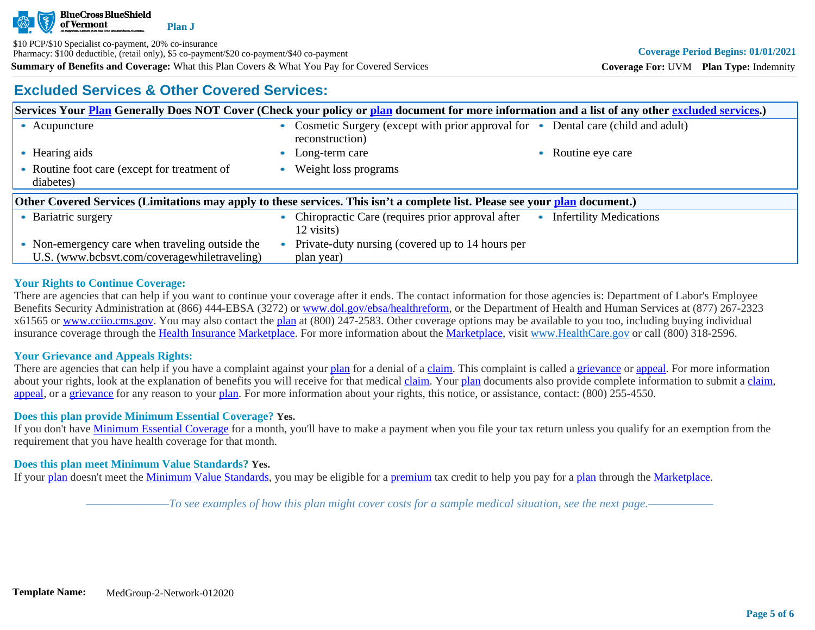

**Summary of Benefits and Coverage:** What this Plan Covers & What You Pay for Covered Services \$10 PCP/\$10 Specialist co-payment, 20% co-insurance Pharmacy: \$100 deductible, (retail only), \$5 co-payment/\$20 co-payment/\$40 co-payment

# **Excluded Services & Other Covered Services:**

**Coverage For:** UVM **Plan Type:** Indemnity

|                                                                                                                              |                                                           |  | Services Your Plan Generally Does NOT Cover (Check your policy or plan document for more information and a list of any other excluded services.) |  |                           |
|------------------------------------------------------------------------------------------------------------------------------|-----------------------------------------------------------|--|--------------------------------------------------------------------------------------------------------------------------------------------------|--|---------------------------|
|                                                                                                                              | • Acupuncture                                             |  | Cosmetic Surgery (except with prior approval for • Dental care (child and adult)<br>reconstruction)                                              |  |                           |
|                                                                                                                              | • Hearing aids                                            |  | Long-term care                                                                                                                                   |  | • Routine eye care        |
|                                                                                                                              | • Routine foot care (except for treatment of<br>diabetes) |  | Weight loss programs                                                                                                                             |  |                           |
| Other Covered Services (Limitations may apply to these services. This isn't a complete list. Please see your plan document.) |                                                           |  |                                                                                                                                                  |  |                           |
|                                                                                                                              |                                                           |  |                                                                                                                                                  |  | • Infertility Medications |
|                                                                                                                              | • Bariatric surgery                                       |  | Chiropractic Care (requires prior approval after<br>12 visits)                                                                                   |  |                           |

# **Your Rights to Continue Coverage:**

There are agencies that can help if you want to continue your coverage after it ends. The contact information for those agencies is: Department of Labor's Employee Benefits Security Administration at (866) 444-EBSA (3272) or [www.dol.gov/ebsa/healthreform](http://www.dol.gov/ebsa/healthreform), or the Department of Health and Human Services at (877) 267-2323 x61565 or [www.cciio.cms.gov](http://www.cciio.cms.gov/). You may also contact the [plan](https://www.healthcare.gov/sbc-glossary/#plan) at (800) 247-2583. Other coverage options may be available to you too, including buying individual insurance coverage through the [Health Insurance](https://www.healthcare.gov/sbc-glossary/#health-insurance) [Marketplace.](https://www.healthcare.gov/sbc-glossary/#marketplace) For more information about the [Marketplace,](https://www.healthcare.gov/sbc-glossary/#marketplace) visit [www.HealthCare.gov](http://www.healthcare.gov/) or call (800) 318-2596.

# **Your Grievance and Appeals Rights:**

There are agencies that can help if you have a complaint against your [plan](https://www.healthcare.gov/sbc-glossary/#plan) for a denial of a [claim.](https://www.healthcare.gov/sbc-glossary/#claim) This complaint is called a [grievance](https://www.healthcare.gov/sbc-glossary/#grievance) or [appeal](https://www.healthcare.gov/sbc-glossary/#appeal). For more information about your rights, look at the explanation of benefits you will receive for that medical [claim](https://www.healthcare.gov/sbc-glossary/#claim). Your [plan](https://www.healthcare.gov/sbc-glossary/#plan) documents also provide complete information to submit a [claim](https://www.healthcare.gov/sbc-glossary/#claim), [appeal](https://www.healthcare.gov/sbc-glossary/#appeal), or a [grievance](https://www.healthcare.gov/sbc-glossary/#grievance) for any reason to your [plan.](https://www.healthcare.gov/sbc-glossary/#plan) For more information about your rights, this notice, or assistance, contact: (800) 255-4550.

# **Does this plan provide Minimum Essential Coverage? Yes.**

If you don't have [Minimum Essential Coverage](https://www.healthcare.gov/sbc-glossary/#minimum-essential-coverage) for a month, you'll have to make a payment when you file your tax return unless you qualify for an exemption from the requirement that you have health coverage for that month.

### **Does this plan meet Minimum Value Standards? Yes.**

If your [plan](https://www.healthcare.gov/sbc-glossary/#plan) doesn't meet the [Minimum Value Standards](https://www.healthcare.gov/sbc-glossary/#minimum-value-standard), you may be eligible for a [premium](https://www.healthcare.gov/sbc-glossary/#premium) tax credit to help you pay for a [plan](https://www.healthcare.gov/sbc-glossary/#plan) through the [Marketplace](https://www.healthcare.gov/sbc-glossary/#marketplace).

*––––––––––––––To see examples of how this plan might cover costs for a sample medical situation, see the next page.–––––––––––*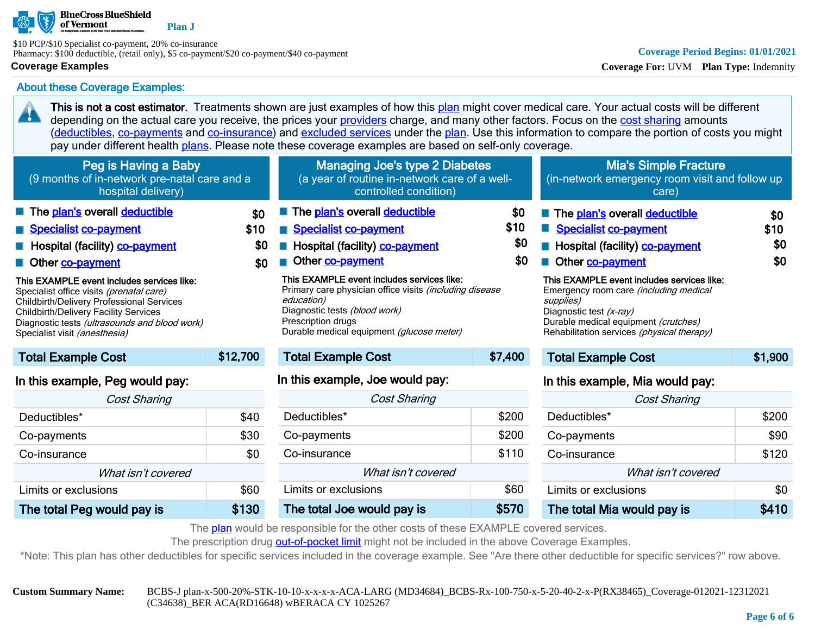

**Plan J**

\$10 PCP/\$10 Specialist co-payment, 20% co-insurance Pharmacy: \$100 deductible, (retail only), \$5 co-payment/\$20 co-payment/\$40 co-payment

### **Coverage Examples**

20

# About these Coverage Examples:

This is not a cost estimator. Treatments shown are just examples of how this [plan](https://www.healthcare.gov/sbc-glossary/#plan) might cover medical care. Your actual costs will be different depending on the actual care you receive, the prices your [providers](https://www.healthcare.gov/sbc-glossary/#provider) charge, and many other factors. Focus on the [cost sharing](https://www.healthcare.gov/sbc-glossary/#cost-sharing) amounts ([deductibles,](https://www.healthcare.gov/sbc-glossary/#deductible) [co-payments](https://www.healthcare.gov/sbc-glossary/#co-payment) and [co-insurance\)](https://www.healthcare.gov/sbc-glossary/#co-insurance) and [excluded services](https://www.healthcare.gov/sbc-glossary/#excluded-services) under the [plan](https://www.healthcare.gov/sbc-glossary/#plan). Use this information to compare the portion of costs you might pay under different health [plans.](https://www.healthcare.gov/sbc-glossary/#plan) Please note these coverage examples are based on self-only coverage.

| Peg is Having a Baby<br>(9 months of in-network pre-natal care and a<br>hospital delivery)                                                                                                                                                                                                                                                                                                   |                           | Managing Joe's type 2 Diabetes<br>(a year of routine in-network care of a well-<br>controlled condition)                                                                                                                                                                                                                                       |                           | Mia's Simple Fracture<br>(in-network emergency room visit and follow up<br>care)                                                                                                                                                                                                                                                          |                           |
|----------------------------------------------------------------------------------------------------------------------------------------------------------------------------------------------------------------------------------------------------------------------------------------------------------------------------------------------------------------------------------------------|---------------------------|------------------------------------------------------------------------------------------------------------------------------------------------------------------------------------------------------------------------------------------------------------------------------------------------------------------------------------------------|---------------------------|-------------------------------------------------------------------------------------------------------------------------------------------------------------------------------------------------------------------------------------------------------------------------------------------------------------------------------------------|---------------------------|
| The plan's overall deductible<br>Specialist co-payment<br>Hospital (facility) co-payment<br>Other co-payment<br>This EXAMPLE event includes services like:<br>Specialist office visits (prenatal care)<br><b>Childbirth/Delivery Professional Services</b><br><b>Childbirth/Delivery Facility Services</b><br>Diagnostic tests (ultrasounds and blood work)<br>Specialist visit (anesthesia) | \$0<br>\$10<br>\$0<br>\$0 | The plan's overall deductible<br><b>Specialist co-payment</b><br>Hospital (facility) co-payment<br>Other co-payment<br>This EXAMPLE event includes services like:<br>Primary care physician office visits (including disease<br>education)<br>Diagnostic tests (blood work)<br>Prescription drugs<br>Durable medical equipment (glucose meter) | \$0<br>\$10<br>\$0<br>\$0 | The plan's overall deductible<br>Specialist co-payment<br>Hospital (facility) co-payment<br>Other co-payment<br>This EXAMPLE event includes services like:<br>Emergency room care <i>(including medical</i><br>supplies)<br>Diagnostic test (x-ray)<br>Durable medical equipment (crutches)<br>Rehabilitation services (physical therapy) | \$0<br>\$10<br>\$0<br>\$0 |
| <b>Total Example Cost</b>                                                                                                                                                                                                                                                                                                                                                                    | \$12,700                  | <b>Total Example Cost</b>                                                                                                                                                                                                                                                                                                                      | \$7,400                   | <b>Total Example Cost</b>                                                                                                                                                                                                                                                                                                                 | \$1,900                   |
| In this example, Peg would pay:                                                                                                                                                                                                                                                                                                                                                              |                           | In this example, Joe would pay:                                                                                                                                                                                                                                                                                                                |                           | In this example, Mia would pay:                                                                                                                                                                                                                                                                                                           |                           |

| <b>Cost Sharing</b>        |       |  |  |
|----------------------------|-------|--|--|
| Deductibles <sup>*</sup>   | \$40  |  |  |
| Co-payments                | \$30  |  |  |
| Co-insurance               | \$0   |  |  |
| What isn't covered         |       |  |  |
| Limits or exclusions       | \$60  |  |  |
| The total Peg would pay is | \$130 |  |  |

| ו טעטו באטוווטוט טעסנ           | 97.TVV |  |  |  |
|---------------------------------|--------|--|--|--|
| In this example, Joe would pay: |        |  |  |  |
| <b>Cost Sharing</b>             |        |  |  |  |
| Deductibles*                    | \$200  |  |  |  |
| Co-payments                     | \$200  |  |  |  |
| Co-insurance                    | \$110  |  |  |  |
| What isn't covered              |        |  |  |  |
| Limits or exclusions            | \$60   |  |  |  |
| The total Joe would pay is      | \$570  |  |  |  |

# Cost Sharing Deductibles\* \$200 Co-payments \$90 Co-insurance \$120 What isn't covered Limits or exclusions the set of the set of the set of the set of the set of the set of the set of the set of the set of the set of the set of the set of the set of the set of the set of the set of the set of the set of the The total Mia would pay is **\$410**

The [plan](https://www.healthcare.gov/sbc-glossary/#plan) would be responsible for the other costs of these EXAMPLE covered services.

The prescription drug [out-of-pocket limit](https://www.healthcare.gov/sbc-glossary/#out-of-pocket-limit) might not be included in the above Coverage Examples.

\*Note: This plan has other deductibles for specific services included in the coverage example. See "Are there other deductible for specific services?" row above.

**Custom Summary Name:** BCBS-J plan-x-500-20%-STK-10-10-x-x-x-x-ACA-LARG (MD34684)\_BCBS-Rx-100-750-x-5-20-40-2-x-P(RX38465)\_Coverage-012021-12312021 (C34638)\_BER ACA(RD16648) wBERACA CY 1025267

**Coverage Period Begins: 01/01/2021**

**Coverage For:** UVM **Plan Type:** Indemnity